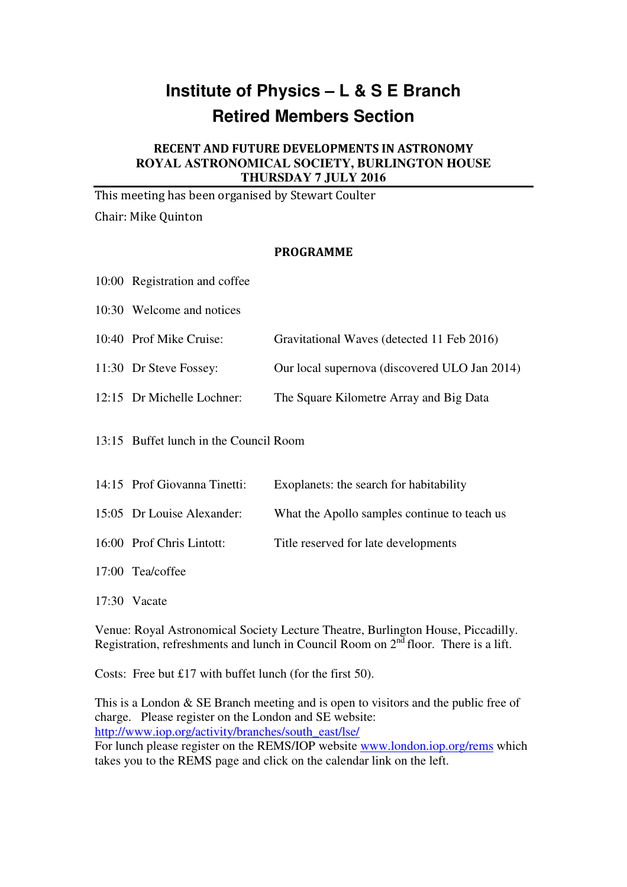## **Institute of Physics – L & S E Branch Retired Members Section**

## RECENT AND FUTURE DEVELOPMENTS IN ASTRONOMY **ROYAL ASTRONOMICAL SOCIETY, BURLINGTON HOUSE THURSDAY 7 JULY 2016**

This meeting has been organised by Stewart Coulter Chair: Mike Quinton

## PROGRAMME

| 10:00 Registration and coffee          |                                               |
|----------------------------------------|-----------------------------------------------|
| 10:30 Welcome and notices              |                                               |
| 10:40 Prof Mike Cruise:                | Gravitational Waves (detected 11 Feb 2016)    |
| 11:30 Dr Steve Fossey:                 | Our local supernova (discovered ULO Jan 2014) |
| 12:15 Dr Michelle Lochner:             | The Square Kilometre Array and Big Data       |
| 13:15 Buffet lunch in the Council Room |                                               |
| 14:15 Prof Giovanna Tinetti:           | Exoplanets: the search for habitability       |
| 15:05 Dr Louise Alexander:             | What the Apollo samples continue to teach us  |
| 16:00 Prof Chris Lintott:              | Title reserved for late developments          |

17:00 Tea/coffee

17:30 Vacate

Venue: Royal Astronomical Society Lecture Theatre, Burlington House, Piccadilly. Registration, refreshments and lunch in Council Room on 2<sup>nd</sup> floor. There is a lift.

Costs: Free but £17 with buffet lunch (for the first 50).

This is a London & SE Branch meeting and is open to visitors and the public free of charge. Please register on the London and SE website: http://www.iop.org/activity/branches/south\_east/lse/

For lunch please register on the REMS/IOP website www.london.iop.org/rems which takes you to the REMS page and click on the calendar link on the left.